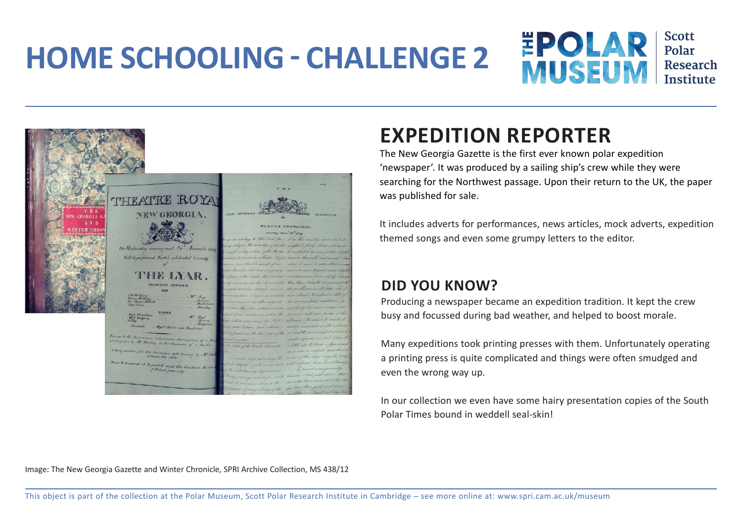## **HOME SCHOOLING - CHALLENGE 2**



**Scott** Polar Research **Institute** 



## **EXPEDITION REPORTER**

The New Georgia Gazette is the first ever known polar expedition 'newspaper'. It was produced by a sailing ship's crew while they were searching for the Northwest passage. Upon their return to the UK, the paper was published for sale.

It includes adverts for performances, news articles, mock adverts, expedition themed songs and even some grumpy letters to the editor.

## **DID YOU KNOW?**

Producing a newspaper became an expedition tradition. It kept the crew busy and focussed during bad weather, and helped to boost morale.

Many expeditions took printing presses with them. Unfortunately operating a printing press is quite complicated and things were often smudged and even the wrong way up.

In our collection we even have some hairy presentation copies of the South Polar Times bound in weddell seal-skin!

Image: The New Georgia Gazette and Winter Chronicle, SPRI Archive Collection, MS 438/12